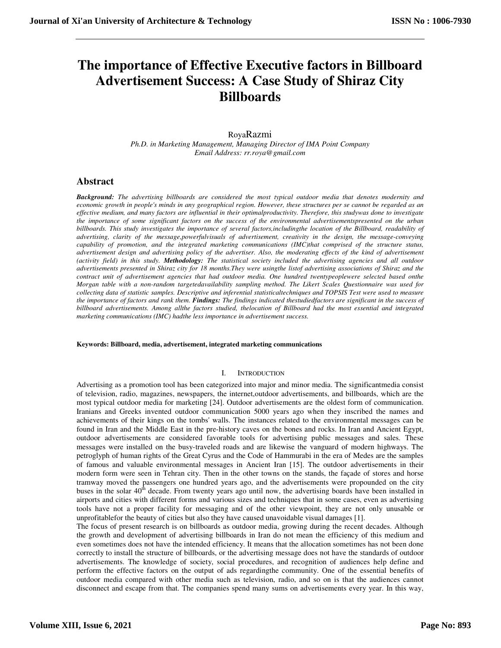# **The importance of Effective Executive factors in Billboard Advertisement Success: A Case Study of Shiraz City Billboards**

# RoyaRazmi

*Ph.D. in Marketing Management, Managing Director of IMA Point Company Email Address: rr.roya@gmail.com* 

# **Abstract**

*Background: The advertising billboards are considered the most typical outdoor media that denotes modernity and economic growth in people's minds in any geographical region. However, these structures per se cannot be regarded as an effective medium, and many factors are influential in their optimalproductivity. Therefore, this studywas done to investigate the importance of some significant factors on the success of the environmental advertisementspresented on the urban billboards. This study investigates the importance of several factors,includingthe location of the Billboard, readability of advertising, clarity of the message,powerfulvisuals of advertisement, creativity in the design, the message-conveying capability of promotion, and the integrated marketing communications (IMC)that comprised of the structure status, advertisement design and advertising policy of the advertiser. Also, the moderating effects of the kind of advertisement (activity field) in this study. Methodology: The statistical society included the advertising agencies and all outdoor advertisements presented in Shiraz city for 18 months.They were usingthe listof advertising associations of Shiraz and the contract unit of advertisement agencies that had outdoor media. One hundred twentypeoplewere selected based onthe Morgan table with a non-random targetedavailability sampling method. The Likert Scales Questionnaire was used for collecting data of statistic samples. Descriptive and inferential statisticaltechniques and TOPSIS Test were used to measure the importance of factors and rank them. Findings: The findings indicated thestudiedfactors are significant in the success of billboard advertisements. Among allthe factors studied, thelocation of Billboard had the most essential and integrated marketing communications (IMC) hadthe less importance in advertisement success.* 

#### **Keywords: Billboard, media, advertisement, integrated marketing communications**

#### I. INTRODUCTION

Advertising as a promotion tool has been categorized into major and minor media. The significantmedia consist of television, radio, magazines, newspapers, the internet,outdoor advertisements, and billboards, which are the most typical outdoor media for marketing [24]. Outdoor advertisements are the oldest form of communication. Iranians and Greeks invented outdoor communication 5000 years ago when they inscribed the names and achievements of their kings on the tombs' walls. The instances related to the environmental messages can be found in Iran and the Middle East in the pre-history caves on the bones and rocks. In Iran and Ancient Egypt, outdoor advertisements are considered favorable tools for advertising public messages and sales. These messages were installed on the busy-traveled roads and are likewise the vanguard of modern highways. The petroglyph of human rights of the Great Cyrus and the Code of Hammurabi in the era of Medes are the samples of famous and valuable environmental messages in Ancient Iran [15]. The outdoor advertisements in their modern form were seen in Tehran city. Then in the other towns on the stands, the façade of stores and horse tramway moved the passengers one hundred years ago, and the advertisements were propounded on the city buses in the solar  $40<sup>th</sup>$  decade. From twenty years ago until now, the advertising boards have been installed in airports and cities with different forms and various sizes and techniques that in some cases, even as advertising tools have not a proper facility for messaging and of the other viewpoint, they are not only unusable or unprofitablefor the beauty of cities but also they have caused unavoidable visual damages [1].

The focus of present research is on billboards as outdoor media, growing during the recent decades. Although the growth and development of advertising billboards in Iran do not mean the efficiency of this medium and even sometimes does not have the intended efficiency. It means that the allocation sometimes has not been done correctly to install the structure of billboards, or the advertising message does not have the standards of outdoor advertisements. The knowledge of society, social procedures, and recognition of audiences help define and perform the effective factors on the output of ads regardingthe community. One of the essential benefits of outdoor media compared with other media such as television, radio, and so on is that the audiences cannot disconnect and escape from that. The companies spend many sums on advertisements every year. In this way,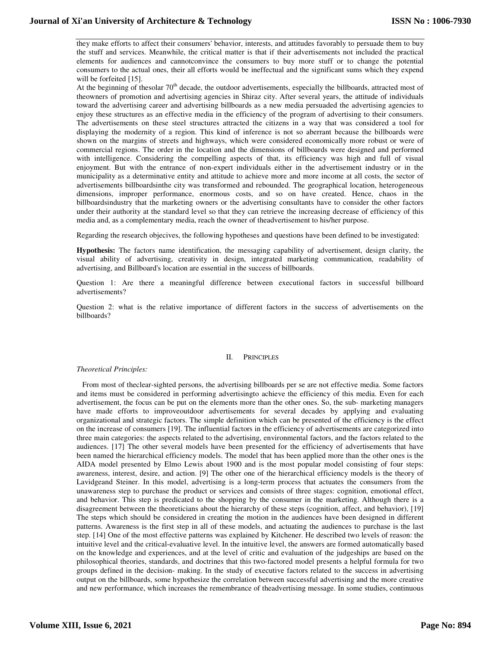they make efforts to affect their consumers' behavior, interests, and attitudes favorably to persuade them to buy the stuff and services. Meanwhile, the critical matter is that if their advertisements not included the practical elements for audiences and cannotconvince the consumers to buy more stuff or to change the potential consumers to the actual ones, their all efforts would be ineffectual and the significant sums which they expend will be forfeited [15].

At the beginning of thesolar 70<sup>th</sup> decade, the outdoor advertisements, especially the billboards, attracted most of theowners of promotion and advertising agencies in Shiraz city. After several years, the attitude of individuals toward the advertising career and advertising billboards as a new media persuaded the advertising agencies to enjoy these structures as an effective media in the efficiency of the program of advertising to their consumers. The advertisements on these steel structures attracted the citizens in a way that was considered a tool for displaying the modernity of a region. This kind of inference is not so aberrant because the billboards were shown on the margins of streets and highways, which were considered economically more robust or were of commercial regions. The order in the location and the dimensions of billboards were designed and performed with intelligence. Considering the compelling aspects of that, its efficiency was high and full of visual enjoyment. But with the entrance of non-expert individuals either in the advertisement industry or in the municipality as a determinative entity and attitude to achieve more and more income at all costs, the sector of advertisements billboardsinthe city was transformed and rebounded. The geographical location, heterogeneous dimensions, improper performance, enormous costs, and so on have created. Hence, chaos in the billboardsindustry that the marketing owners or the advertising consultants have to consider the other factors under their authority at the standard level so that they can retrieve the increasing decrease of efficiency of this media and, as a complementary media, reach the owner of theadvertisement to his/her purpose.

Regarding the research objecives, the following hypotheses and questions have been defined to be investigated:

**Hypothesis:** The factors name identification, the messaging capability of advertisement, design clarity, the visual ability of advertising, creativity in design, integrated marketing communication, readability of advertising, and Billboard's location are essential in the success of billboards.

Question 1: Are there a meaningful difference between executional factors in successful billboard advertisements?

Question 2: what is the relative importance of different factors in the success of advertisements on the billboards?

#### II. PRINCIPLES

#### *Theoretical Principles:*

 From most of theclear-sighted persons, the advertising billboards per se are not effective media. Some factors and items must be considered in performing advertisingto achieve the efficiency of this media. Even for each advertisement, the focus can be put on the elements more than the other ones. So, the sub- marketing managers have made efforts to improveoutdoor advertisements for several decades by applying and evaluating organizational and strategic factors. The simple definition which can be presented of the efficiency is the effect on the increase of consumers [19]. The influential factors in the efficiency of advertisements are categorized into three main categories: the aspects related to the advertising, environmental factors, and the factors related to the audiences. [17] The other several models have been presented for the efficiency of advertisements that have been named the hierarchical efficiency models. The model that has been applied more than the other ones is the AIDA model presented by Elmo Lewis about 1900 and is the most popular model consisting of four steps: awareness, interest, desire, and action. [9] The other one of the hierarchical efficiency models is the theory of Lavidgeand Steiner. In this model, advertising is a long-term process that actuates the consumers from the unawareness step to purchase the product or services and consists of three stages: cognition, emotional effect, and behavior. This step is predicated to the shopping by the consumer in the marketing. Although there is a disagreement between the theoreticians about the hierarchy of these steps (cognition, affect, and behavior), [19] The steps which should be considered in creating the motion in the audiences have been designed in different patterns. Awareness is the first step in all of these models, and actuating the audiences to purchase is the last step. [14] One of the most effective patterns was explained by Kitchener. He described two levels of reason: the intuitive level and the critical-evaluative level. In the intuitive level, the answers are formed automatically based on the knowledge and experiences, and at the level of critic and evaluation of the judgeships are based on the philosophical theories, standards, and doctrines that this two-factored model presents a helpful formula for two groups defined in the decision- making. In the study of executive factors related to the success in advertising output on the billboards, some hypothesize the correlation between successful advertising and the more creative and new performance, which increases the remembrance of theadvertising message. In some studies, continuous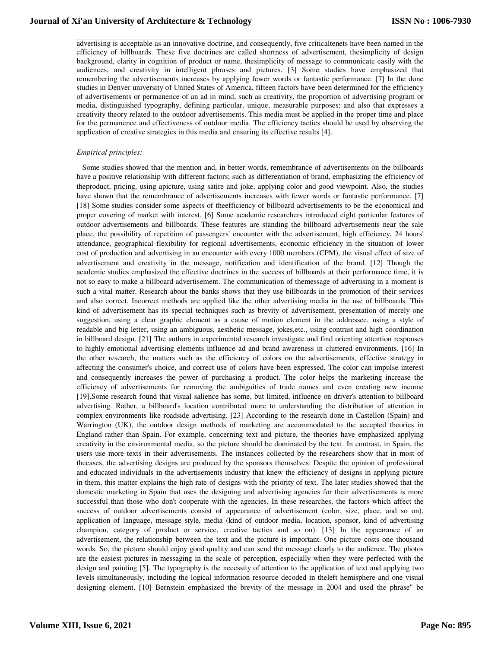advertising is acceptable as an innovative doctrine, and consequently, five criticaltenets have been named in the efficiency of billboards. These five doctrines are called shortness of advertisement, thesimplicity of design background, clarity in cognition of product or name, thesimplicity of message to communicate easily with the audiences, and creativity in intelligent phrases and pictures. [3] Some studies have emphasized that remembering the advertisements increases by applying fewer words or fantastic performance. [7] In the done studies in Denver university of United States of America, fifteen factors have been determined for the efficiency of advertisements or permanence of an ad in mind, such as creativity, the proportion of advertising program or media, distinguished typography, defining particular, unique, measurable purposes; and also that expresses a creativity theory related to the outdoor advertisements. This media must be applied in the proper time and place for the permanence and effectiveness of outdoor media. The efficiency tactics should be used by observing the application of creative strategies in this media and ensuring its effective results [4].

#### *Empirical principles:*

 Some studies showed that the mention and, in better words, remembrance of advertisements on the billboards have a positive relationship with different factors; such as differentiation of brand, emphasizing the efficiency of theproduct, pricing, using apicture, using satire and joke, applying color and good viewpoint. Also, the studies have shown that the remembrance of advertisements increases with fewer words or fantastic performance. [7] [18] Some studies consider some aspects of theefficiency of billboard advertisements to be the economical and proper covering of market with interest. [6] Some academic researchers introduced eight particular features of outdoor advertisements and billboards. These features are standing the billboard advertisements near the sale place, the possibility of repetition of passengers' encounter with the advertisement, high efficiency, 24 hours' attendance, geographical flexibility for regional advertisements, economic efficiency in the situation of lower cost of production and advertising in an encounter with every 1000 members (CPM), the visual effect of size of advertisement and creativity in the message, notification and identification of the brand. [12] Though the academic studies emphasized the effective doctrines in the success of billboards at their performance time, it is not so easy to make a billboard advertisement. The communication of themessage of advertising in a moment is such a vital matter. Research about the banks shows that they use billboards in the promotion of their services and also correct. Incorrect methods are applied like the other advertising media in the use of billboards. This kind of advertisement has its special techniques such as brevity of advertisement, presentation of merely one suggestion, using a clear graphic element as a cause of motion element in the addressee, using a style of readable and big letter, using an ambiguous, aesthetic message, jokes,etc., using contrast and high coordination in billboard design. [21] The authors in experimental research investigate and find orienting attention responses to highly emotional advertising elements influence ad and brand awareness in cluttered environments. [16] In the other research, the matters such as the efficiency of colors on the advertisements, effective strategy in affecting the consumer's choice, and correct use of colors have been expressed. The color can impulse interest and consequently increases the power of purchasing a product. The color helps the marketing increase the efficiency of advertisements for removing the ambiguities of trade names and even creating new income [19].Some research found that visual salience has some, but limited, influence on driver's attention to billboard advertising. Rather, a billboard's location contributed more to understanding the distribution of attention in complex environments like roadside advertising. [23] According to the research done in Castellon (Spain) and Warrington (UK), the outdoor design methods of marketing are accommodated to the accepted theories in England rather than Spain. For example, concerning text and picture, the theories have emphasized applying creativity in the environmental media, so the picture should be dominated by the text. In contrast, in Spain, the users use more texts in their advertisements. The instances collected by the researchers show that in most of thecases, the advertising designs are produced by the sponsors themselves. Despite the opinion of professional and educated individuals in the advertisements industry that knew the efficiency of designs in applying picture in them, this matter explains the high rate of designs with the priority of text. The later studies showed that the domestic marketing in Spain that uses the designing and advertising agencies for their advertisements is more successful than those who don't cooperate with the agencies. In these researches, the factors which affect the success of outdoor advertisements consist of appearance of advertisement (color, size, place, and so on), application of language, message style, media (kind of outdoor media, location, sponsor, kind of advertising champion, category of product or service, creative tactics and so on). [13] In the appearance of an advertisement, the relationship between the text and the picture is important. One picture costs one thousand words. So, the picture should enjoy good quality and can send the message clearly to the audience. The photos are the easiest pictures in messaging in the scale of perception, especially when they were perfected with the design and painting [5]. The typography is the necessity of attention to the application of text and applying two levels simultaneously, including the logical information resource decoded in theleft hemisphere and one visual designing element. [10] Bernstein emphasized the brevity of the message in 2004 and used the phrase" be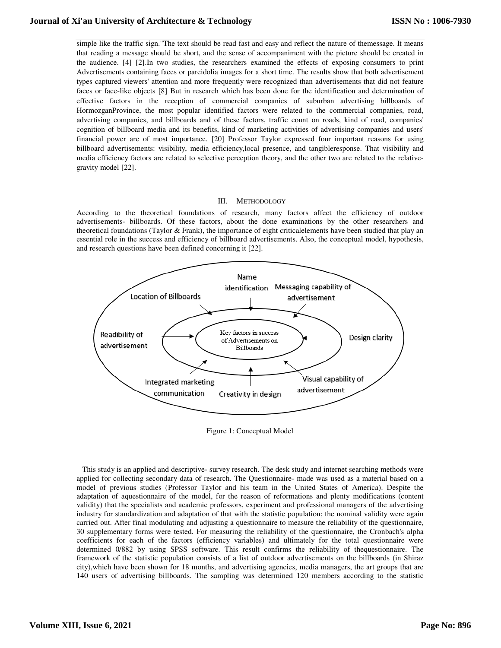simple like the traffic sign."The text should be read fast and easy and reflect the nature of themessage. It means that reading a message should be short, and the sense of accompaniment with the picture should be created in the audience. [4] [2].In two studies, the researchers examined the effects of exposing consumers to print Advertisements containing faces or pareidolia images for a short time. The results show that both advertisement types captured viewers' attention and more frequently were recognized than advertisements that did not feature faces or face-like objects [8] But in research which has been done for the identification and determination of effective factors in the reception of commercial companies of suburban advertising billboards of HormozganProvince, the most popular identified factors were related to the commercial companies, road, advertising companies, and billboards and of these factors, traffic count on roads, kind of road, companies' cognition of billboard media and its benefits, kind of marketing activities of advertising companies and users' financial power are of most importance. [20] Professor Taylor expressed four important reasons for using billboard advertisements: visibility, media efficiency,local presence, and tangibleresponse. That visibility and media efficiency factors are related to selective perception theory, and the other two are related to the relativegravity model [22].

## III. METHODOLOGY

According to the theoretical foundations of research, many factors affect the efficiency of outdoor advertisements- billboards. Of these factors, about the done examinations by the other researchers and theoretical foundations (Taylor & Frank), the importance of eight criticalelements have been studied that play an essential role in the success and efficiency of billboard advertisements. Also, the conceptual model, hypothesis, and research questions have been defined concerning it [22].



Figure 1: Conceptual Model

 This study is an applied and descriptive- survey research. The desk study and internet searching methods were applied for collecting secondary data of research. The Questionnaire- made was used as a material based on a model of previous studies (Professor Taylor and his team in the United States of America). Despite the adaptation of aquestionnaire of the model, for the reason of reformations and plenty modifications (content validity) that the specialists and academic professors, experiment and professional managers of the advertising industry for standardization and adaptation of that with the statistic population; the nominal validity were again carried out. After final modulating and adjusting a questionnaire to measure the reliability of the questionnaire, 30 supplementary forms were tested. For measuring the reliability of the questionnaire, the Cronbach's alpha coefficients for each of the factors (efficiency variables) and ultimately for the total questionnaire were determined 0/882 by using SPSS software. This result confirms the reliability of thequestionnaire. The framework of the statistic population consists of a list of outdoor advertisements on the billboards (in Shiraz city),which have been shown for 18 months, and advertising agencies, media managers, the art groups that are 140 users of advertising billboards. The sampling was determined 120 members according to the statistic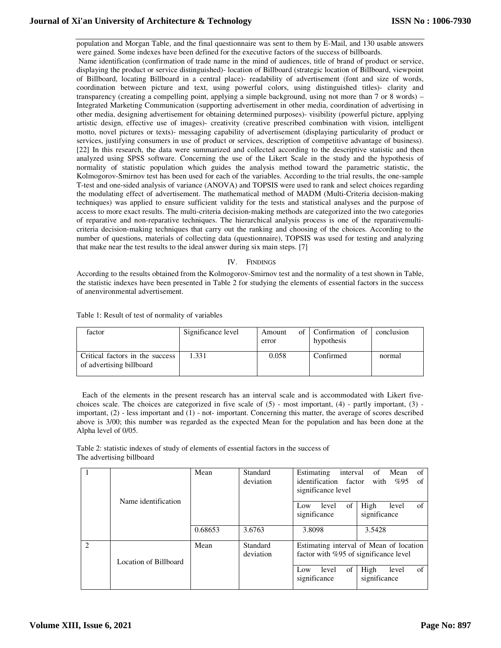population and Morgan Table, and the final questionnaire was sent to them by E-Mail, and 130 usable answers were gained. Some indexes have been defined for the executive factors of the success of billboards. Name identification (confirmation of trade name in the mind of audiences, title of brand of product or service, displaying the product or service distinguished)- location of Billboard (strategic location of Billboard, viewpoint of Billboard, locating Billboard in a central place)- readability of advertisement (font and size of words, coordination between picture and text, using powerful colors, using distinguished titles)- clarity and transparency (creating a compelling point, applying a simple background, using not more than 7 or 8 words) – Integrated Marketing Communication (supporting advertisement in other media, coordination of advertising in other media, designing advertisement for obtaining determined purposes)- visibility (powerful picture, applying artistic design, effective use of images)- creativity (creative prescribed combination with vision, intelligent motto, novel pictures or texts)- messaging capability of advertisement (displaying particularity of product or services, justifying consumers in use of product or services, description of competitive advantage of business). [22] In this research, the data were summarized and collected according to the descriptive statistic and then analyzed using SPSS software. Concerning the use of the Likert Scale in the study and the hypothesis of normality of statistic population which guides the analysis method toward the parametric statistic, the Kolmogorov-Smirnov test has been used for each of the variables. According to the trial results, the one-sample T-test and one-sided analysis of variance (ANOVA) and TOPSIS were used to rank and select choices regarding the modulating effect of advertisement. The mathematical method of MADM (Multi-Criteria decision-making techniques) was applied to ensure sufficient validity for the tests and statistical analyses and the purpose of access to more exact results. The multi-criteria decision-making methods are categorized into the two categories of reparative and non-reparative techniques. The hierarchical analysis process is one of the reparativemulticriteria decision-making techniques that carry out the ranking and choosing of the choices. According to the number of questions, materials of collecting data (questionnaire), TOPSIS was used for testing and analyzing that make near the test results to the ideal answer during six main steps. [7]

## IV. FINDINGS

According to the results obtained from the Kolmogorov-Smirnov test and the normality of a test shown in Table, the statistic indexes have been presented in Table 2 for studying the elements of essential factors in the success of anenvironmental advertisement.

| factor                                                      | Significance level | Amount<br>error | of Confirmation of<br>hypothesis | conclusion |
|-------------------------------------------------------------|--------------------|-----------------|----------------------------------|------------|
| Critical factors in the success<br>of advertising billboard | 1.331              | 0.058           | Confirmed                        | normal     |

Table 1: Result of test of normality of variables

 Each of the elements in the present research has an interval scale and is accommodated with Likert fivechoices scale. The choices are categorized in five scale of (5) - most important, (4) - partly important, (3) important, (2) - less important and (1) - not- important. Concerning this matter, the average of scores described above is 3/00; this number was regarded as the expected Mean for the population and has been done at the Alpha level of 0/05.

Table 2: statistic indexes of study of elements of essential factors in the success of The advertising billboard

|               |                       | Mean    | Standard        | Estimating<br>interval                | Mean<br>of<br>of                        |
|---------------|-----------------------|---------|-----------------|---------------------------------------|-----------------------------------------|
|               |                       |         | deviation       | identification factor                 | with<br>%95<br>of                       |
|               | Name identification   |         |                 | significance level                    |                                         |
|               |                       |         |                 | of<br>level<br>Low<br>significance    | High<br>level<br>of<br>significance     |
|               |                       | 0.68653 | 3.6763          | 3.8098                                | 3.5428                                  |
| $\mathcal{L}$ |                       | Mean    | <b>Standard</b> |                                       | Estimating interval of Mean of location |
|               | Location of Billboard |         | deviation       | factor with %95 of significance level |                                         |
|               |                       |         |                 | of<br>level<br>Low<br>significance    | High<br>of<br>level<br>significance     |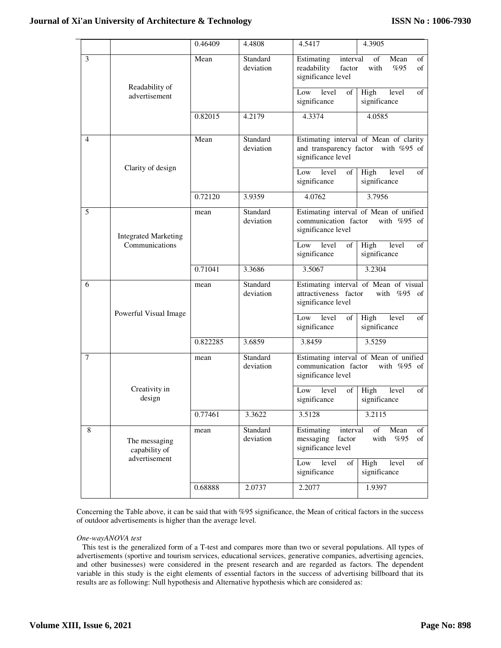$\overline{a}$ 

|   |                                                 | 0.46409  | 4.4808                | 4.5417                                                                | 4.3905                                                                        |
|---|-------------------------------------------------|----------|-----------------------|-----------------------------------------------------------------------|-------------------------------------------------------------------------------|
| 3 |                                                 | Mean     | Standard<br>deviation | Estimating<br>interval<br>readability<br>factor<br>significance level | of<br>Mean<br>of<br>with<br>%95<br>of                                         |
|   | Readability of<br>advertisement                 |          |                       | Low<br>level<br>of<br>significance                                    | High<br>level<br>of<br>significance                                           |
|   |                                                 | 0.82015  | 4.2179                | 4.3374                                                                | 4.0585                                                                        |
| 4 | Clarity of design                               | Mean     | Standard<br>deviation | significance level                                                    | Estimating interval of Mean of clarity<br>and transparency factor with %95 of |
|   |                                                 |          |                       | level<br>Low<br>οf<br>significance                                    | High<br>level<br>of<br>significance                                           |
|   |                                                 | 0.72120  | 3.9359                | 4.0762                                                                | 3.7956                                                                        |
| 5 | <b>Integrated Marketing</b>                     | mean     | Standard<br>deviation | communication factor<br>significance level                            | Estimating interval of Mean of unified<br>with $%95$ of                       |
|   | Communications                                  |          |                       | Low<br>level<br>of<br>significance                                    | High<br>level<br>of<br>significance                                           |
|   |                                                 | 0.71041  | 3.3686                | 3.5067                                                                | 3.2304                                                                        |
| 6 |                                                 | mean     | Standard<br>deviation | attractiveness factor<br>significance level                           | Estimating interval of Mean of visual<br>with $%95$<br>of                     |
|   | Powerful Visual Image                           |          |                       | level<br>of<br>Low<br>significance                                    | High<br>of<br>level<br>significance                                           |
|   |                                                 | 0.822285 | 3.6859                | 3.8459                                                                | 3.5259                                                                        |
| 7 |                                                 | mean     | Standard<br>deviation | communication factor<br>significance level                            | Estimating interval of Mean of unified<br>with %95 of                         |
|   | Creativity in<br>design                         |          |                       | Low<br>level<br>of<br>significance                                    | of<br>High<br>level<br>significance                                           |
|   |                                                 | 0.77461  | 3.3622                | 3.5128                                                                | 3.2115                                                                        |
| 8 | The messaging<br>capability of<br>advertisement | mean     | Standard<br>deviation | Estimating<br>interval<br>messaging<br>factor<br>significance level   | of<br>Mean<br>of<br>with<br>%95<br>of                                         |
|   |                                                 |          |                       | level<br>of<br>Low<br>significance                                    | High<br>level<br>of<br>significance                                           |
|   |                                                 | 0.68888  | 2.0737                | 2.2077                                                                | 1.9397                                                                        |

Concerning the Table above, it can be said that with %95 significance, the Mean of critical factors in the success of outdoor advertisements is higher than the average level.

# *One-wayANOVA test*

 This test is the generalized form of a T-test and compares more than two or several populations. All types of advertisements (sportive and tourism services, educational services, generative companies, advertising agencies, and other businesses) were considered in the present research and are regarded as factors. The dependent variable in this study is the eight elements of essential factors in the success of advertising billboard that its results are as following: Null hypothesis and Alternative hypothesis which are considered as: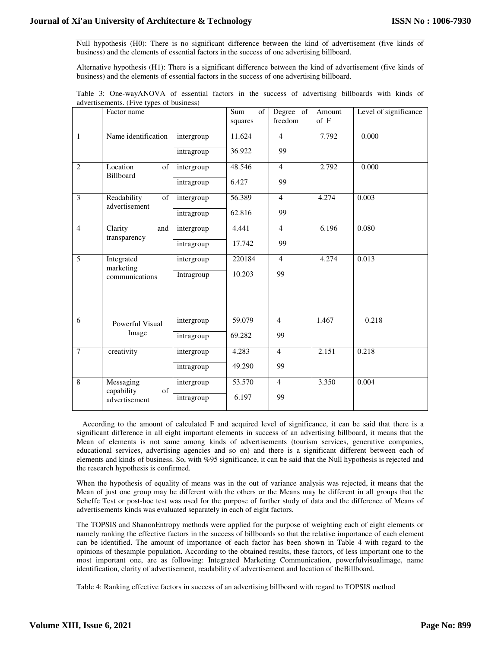Null hypothesis (H0): There is no significant difference between the kind of advertisement (five kinds of business) and the elements of essential factors in the success of one advertising billboard.

Alternative hypothesis (H1): There is a significant difference between the kind of advertisement (five kinds of business) and the elements of essential factors in the success of one advertising billboard.

|  | Table 3: One-wayANOVA of essential factors in the success of advertising billboards with kinds of |  |  |  |  |  |  |
|--|---------------------------------------------------------------------------------------------------|--|--|--|--|--|--|
|  | advertisements. (Five types of business)                                                          |  |  |  |  |  |  |

|                | Factor name                        |            | Sum<br>of<br>squares | Degree of<br>freedom | Amount<br>$of$ $F$ | Level of significance |
|----------------|------------------------------------|------------|----------------------|----------------------|--------------------|-----------------------|
| $\mathbf{1}$   | Name identification                | intergroup | 11.624               | $\overline{4}$       | 7.792              | 0.000                 |
|                |                                    | intragroup | 36.922               | 99                   |                    |                       |
| $\overline{2}$ | Location<br>of<br>Billboard        | intergroup | 48.546               | $\overline{4}$       | 2.792              | 0.000                 |
|                |                                    | intragroup | 6.427                | 99                   |                    |                       |
| 3              | Readability<br>of<br>advertisement | intergroup | 56.389               | $\overline{4}$       | 4.274              | 0.003                 |
|                |                                    | intragroup | 62.816               | 99                   |                    |                       |
| $\overline{4}$ | Clarity<br>and<br>transparency     | intergroup | 4.441                | $\overline{4}$       | 6.196              | 0.080                 |
|                |                                    | intragroup | 17.742               | 99                   |                    |                       |
| 5              | Integrated<br>marketing            | intergroup | 220184               | $\overline{4}$       | 4.274              | 0.013                 |
|                | communications                     | Intragroup | 10.203               | 99                   |                    |                       |
|                |                                    |            |                      |                      |                    |                       |
|                |                                    |            |                      |                      |                    |                       |
| 6              | Powerful Visual                    | intergroup | 59.079               | $\overline{4}$       | 1.467              | 0.218                 |
|                | Image                              | intragroup | 69.282               | 99                   |                    |                       |
| $\overline{7}$ | creativity                         | intergroup | 4.283                | $\overline{4}$       | 2.151              | 0.218                 |
|                |                                    | intragroup | 49.290               | 99                   |                    |                       |
| 8              | Messaging<br>of<br>capability      | intergroup | 53.570               | $\overline{4}$       | 3.350              | 0.004                 |
|                | advertisement                      | intragroup | 6.197                | 99                   |                    |                       |

 According to the amount of calculated F and acquired level of significance, it can be said that there is a significant difference in all eight important elements in success of an advertising billboard, it means that the Mean of elements is not same among kinds of advertisements (tourism services, generative companies, educational services, advertising agencies and so on) and there is a significant different between each of elements and kinds of business. So, with %95 significance, it can be said that the Null hypothesis is rejected and the research hypothesis is confirmed.

When the hypothesis of equality of means was in the out of variance analysis was rejected, it means that the Mean of just one group may be different with the others or the Means may be different in all groups that the Scheffe Test or post-hoc test was used for the purpose of further study of data and the difference of Means of advertisements kinds was evaluated separately in each of eight factors.

The TOPSIS and ShanonEntropy methods were applied for the purpose of weighting each of eight elements or namely ranking the effective factors in the success of billboards so that the relative importance of each element can be identified. The amount of importance of each factor has been shown in Table 4 with regard to the opinions of thesample population. According to the obtained results, these factors, of less important one to the most important one, are as following: Integrated Marketing Communication, powerfulvisualimage, name identification, clarity of advertisement, readability of advertisement and location of theBillboard.

Table 4: Ranking effective factors in success of an advertising billboard with regard to TOPSIS method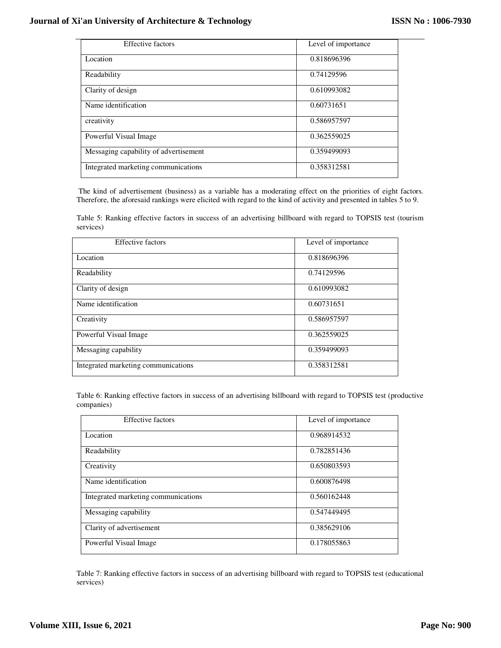L.

| <b>Effective factors</b>              | Level of importance |
|---------------------------------------|---------------------|
| Location                              | 0.818696396         |
| Readability                           | 0.74129596          |
| Clarity of design                     | 0.610993082         |
| Name identification                   | 0.60731651          |
| creativity                            | 0.586957597         |
| Powerful Visual Image                 | 0.362559025         |
| Messaging capability of advertisement | 0.359499093         |
| Integrated marketing communications   | 0.358312581         |

 The kind of advertisement (business) as a variable has a moderating effect on the priorities of eight factors. Therefore, the aforesaid rankings were elicited with regard to the kind of activity and presented in tables 5 to 9.

Table 5: Ranking effective factors in success of an advertising billboard with regard to TOPSIS test (tourism services)

| <b>Effective factors</b>            | Level of importance |
|-------------------------------------|---------------------|
| Location                            | 0.818696396         |
| Readability                         | 0.74129596          |
| Clarity of design                   | 0.610993082         |
| Name identification                 | 0.60731651          |
| Creativity                          | 0.586957597         |
| Powerful Visual Image               | 0.362559025         |
| Messaging capability                | 0.359499093         |
| Integrated marketing communications | 0.358312581         |

Table 6: Ranking effective factors in success of an advertising billboard with regard to TOPSIS test (productive companies)

| <b>Effective factors</b>            | Level of importance |
|-------------------------------------|---------------------|
| Location                            | 0.968914532         |
| Readability                         | 0.782851436         |
| Creativity                          | 0.650803593         |
| Name identification                 | 0.600876498         |
| Integrated marketing communications | 0.560162448         |
| Messaging capability                | 0.547449495         |
| Clarity of advertisement            | 0.385629106         |
| Powerful Visual Image               | 0.178055863         |

Table 7: Ranking effective factors in success of an advertising billboard with regard to TOPSIS test (educational services)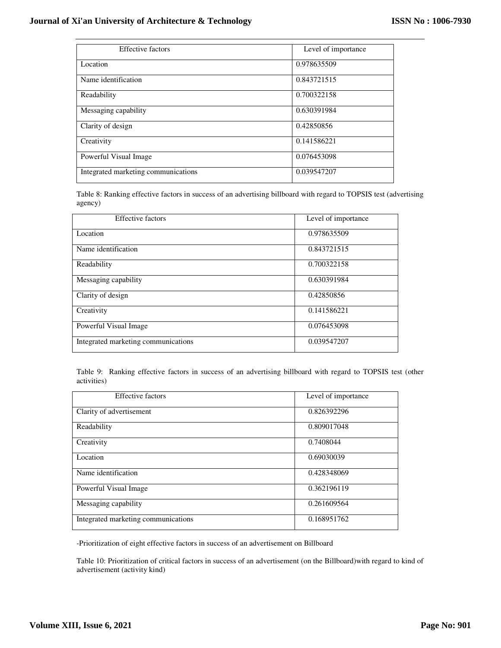| <b>Effective factors</b>            | Level of importance |
|-------------------------------------|---------------------|
| Location                            | 0.978635509         |
| Name identification                 | 0.843721515         |
| Readability                         | 0.700322158         |
| Messaging capability                | 0.630391984         |
| Clarity of design                   | 0.42850856          |
| Creativity                          | 0.141586221         |
| Powerful Visual Image               | 0.076453098         |
| Integrated marketing communications | 0.039547207         |

Table 8: Ranking effective factors in success of an advertising billboard with regard to TOPSIS test (advertising agency)

| <b>Effective factors</b>            | Level of importance |
|-------------------------------------|---------------------|
| Location                            | 0.978635509         |
| Name identification                 | 0.843721515         |
| Readability                         | 0.700322158         |
| Messaging capability                | 0.630391984         |
| Clarity of design                   | 0.42850856          |
| Creativity                          | 0.141586221         |
| Powerful Visual Image               | 0.076453098         |
| Integrated marketing communications | 0.039547207         |

Table 9: Ranking effective factors in success of an advertising billboard with regard to TOPSIS test (other activities)

| <b>Effective factors</b>            | Level of importance |
|-------------------------------------|---------------------|
| Clarity of advertisement            | 0.826392296         |
| Readability                         | 0.809017048         |
| Creativity                          | 0.7408044           |
| Location                            | 0.69030039          |
| Name identification                 | 0.428348069         |
| Powerful Visual Image               | 0.362196119         |
| Messaging capability                | 0.261609564         |
| Integrated marketing communications | 0.168951762         |

-Prioritization of eight effective factors in success of an advertisement on Billboard

Table 10: Prioritization of critical factors in success of an advertisement (on the Billboard)with regard to kind of advertisement (activity kind)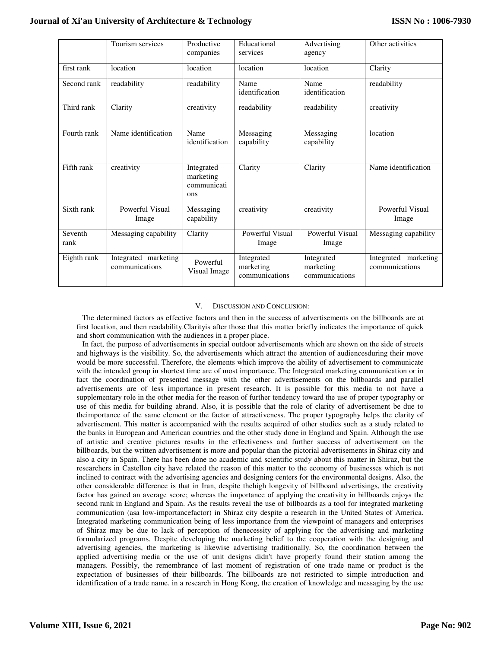|                 | Tourism services                       | Productive<br>companies                       | Educational<br>services                   | Advertising<br>agency                     | Other activities                       |
|-----------------|----------------------------------------|-----------------------------------------------|-------------------------------------------|-------------------------------------------|----------------------------------------|
| first rank      | location                               | location                                      | location                                  | location                                  | Clarity                                |
| Second rank     | readability                            | readability                                   | Name<br>identification                    | Name<br>identification                    | readability                            |
| Third rank      | Clarity                                | creativity                                    | readability                               | readability                               | creativity                             |
| Fourth rank     | Name identification                    | Name<br>identification                        | Messaging<br>capability                   | Messaging<br>capability                   | location                               |
| Fifth rank      | creativity                             | Integrated<br>marketing<br>communicati<br>ons | Clarity                                   | Clarity                                   | Name identification                    |
| Sixth rank      | Powerful Visual<br>Image               | Messaging<br>capability                       | creativity                                | creativity                                | Powerful Visual<br>Image               |
| Seventh<br>rank | Messaging capability                   | Clarity                                       | Powerful Visual<br>Image                  | Powerful Visual<br>Image                  | Messaging capability                   |
| Eighth rank     | Integrated marketing<br>communications | Powerful<br>Visual Image                      | Integrated<br>marketing<br>communications | Integrated<br>marketing<br>communications | Integrated marketing<br>communications |

## V. DISCUSSION AND CONCLUSION:

 The determined factors as effective factors and then in the success of advertisements on the billboards are at first location, and then readability.Clarityis after those that this matter briefly indicates the importance of quick and short communication with the audiences in a proper place.

 In fact, the purpose of advertisements in special outdoor advertisements which are shown on the side of streets and highways is the visibility. So, the advertisements which attract the attention of audiencesduring their move would be more successful. Therefore, the elements which improve the ability of advertisement to communicate with the intended group in shortest time are of most importance. The Integrated marketing communication or in fact the coordination of presented message with the other advertisements on the billboards and parallel advertisements are of less importance in present research. It is possible for this media to not have a supplementary role in the other media for the reason of further tendency toward the use of proper typography or use of this media for building abrand. Also, it is possible that the role of clarity of advertisement be due to theimportance of the same element or the factor of attractiveness. The proper typography helps the clarity of advertisement. This matter is accompanied with the results acquired of other studies such as a study related to the banks in European and American countries and the other study done in England and Spain. Although the use of artistic and creative pictures results in the effectiveness and further success of advertisement on the billboards, but the written advertisement is more and popular than the pictorial advertisements in Shiraz city and also a city in Spain. There has been done no academic and scientific study about this matter in Shiraz, but the researchers in Castellon city have related the reason of this matter to the economy of businesses which is not inclined to contract with the advertising agencies and designing centers for the environmental designs. Also, the other considerable difference is that in Iran, despite thehigh longevity of billboard advertisings, the creativity factor has gained an average score; whereas the importance of applying the creativity in billboards enjoys the second rank in England and Spain. As the results reveal the use of billboards as a tool for integrated marketing communication (asa low-importancefactor) in Shiraz city despite a research in the United States of America. Integrated marketing communication being of less importance from the viewpoint of managers and enterprises of Shiraz may be due to lack of perception of thenecessity of applying for the advertising and marketing formularized programs. Despite developing the marketing belief to the cooperation with the designing and advertising agencies, the marketing is likewise advertising traditionally. So, the coordination between the applied advertising media or the use of unit designs didn't have properly found their station among the managers. Possibly, the remembrance of last moment of registration of one trade name or product is the expectation of businesses of their billboards. The billboards are not restricted to simple introduction and identification of a trade name. in a research in Hong Kong, the creation of knowledge and messaging by the use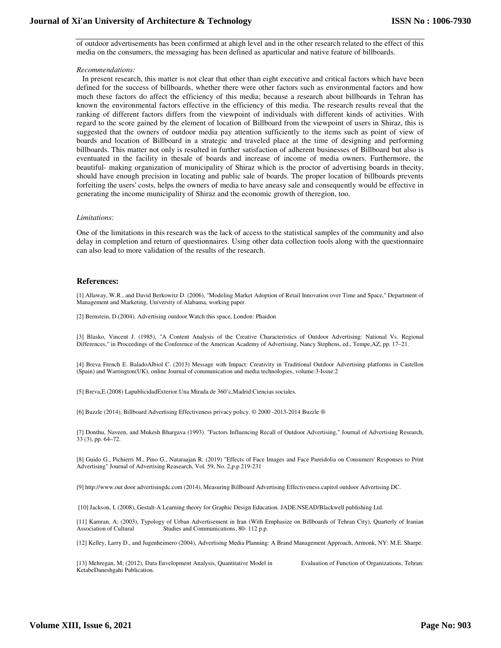of outdoor advertisements has been confirmed at ahigh level and in the other research related to the effect of this media on the consumers, the messaging has been defined as aparticular and native feature of billboards.

#### *Recommendations:*

 In present research, this matter is not clear that other than eight executive and critical factors which have been defined for the success of billboards, whether there were other factors such as environmental factors and how much these factors do affect the efficiency of this media; because a research about billboards in Tehran has known the environmental factors effective in the efficiency of this media. The research results reveal that the ranking of different factors differs from the viewpoint of individuals with different kinds of activities. With regard to the score gained by the element of location of Billboard from the viewpoint of users in Shiraz, this is suggested that the owners of outdoor media pay attention sufficiently to the items such as point of view of boards and location of Billboard in a strategic and traveled place at the time of designing and performing billboards. This matter not only is resulted in further satisfaction of adherent businesses of Billboard but also is eventuated in the facility in thesale of boards and increase of income of media owners. Furthermore, the beautiful- making organization of municipality of Shiraz which is the proctor of advertising boards in thecity, should have enough precision in locating and public sale of boards. The proper location of billboards prevents forfeiting the users' costs, helps the owners of media to have aneasy sale and consequently would be effective in generating the income municipality of Shiraz and the economic growth of theregion, too.

#### *Limitations:*

One of the limitations in this research was the lack of access to the statistical samples of the community and also delay in completion and return of questionnaires. Using other data collection tools along with the questionnaire can also lead to more validation of the results of the research.

## **References:**

[1] Allaway, W.R , and David Berkowitz D. (2006), "Modeling Market Adoption of Retail Innovation over Time and Space," Department of Management and Marketing, University of Alabama, working paper.

[2] Bernstein, D.(2004). Advertising outdoor.Watch this space, London: Phaidon

[3] Blasko, Vincent J. (1985), "A Content Analysis of the Creative Characteristics of Outdoor Advertising: National Vs. Regional Differences," in Proceedings of the Conference of the American Academy of Advertising, Nancy Stephens, ed., Tempe,AZ, pp. 17–21.

[4] Breva French E. BaladoAlbiol C. (2013) Message with Impact: Creativity in Traditional Outdoor Advertising platforms in Castellon (Spain) and Warrington(UK), online Journal of communication and media technologies, volume:3-Issne:2

[5] Breva,E.(2008) LapublicidadExterior.Una Mirada de 360˚c,Madrid:Ciencias sociales.

[6] Buzzle (2014), Billboard Advertising Effectiveness privacy policy. © 2000 -2013-2014 Buzzle ®

[7] Donthu, Naveen, and Mukesh Bhargava (1993). "Factors Influencing Recall of Outdoor Advertising," Journal of Advertising Research, 33 (3), pp. 64–72.

[8] Guido G., Pichierri M., Pino G., Nataraajan R. (2019) "Effects of Face Images and Face Pareidolia on Consumers' Responses to Print Advertising" Journal of Advertising Reasearch, Vol. 59, No. 2,p.p 219-231

[9] http://www.out door advertisingdc.com (2014), Measuring Billboard Advertising Effectiveness.capitol outdoor Advertising DC.

[10] Jackson, I. (2008), Gestalt-A Learning theory for Graphic Design Education. JADE.NSEAD/Blackwell publishing Ltd.

[11] Kamran, A; (2003), Typology of Urban Advertisement in Iran (With Emphasize on Billboards of Tehran City), Quarterly of Iranian Association of Cultural Studies and Communications, 80-112 p.p.

[12] Kelley, Larry D., and Jugenheimero (2004), Advertising Media Planning: A Brand Management Approach, Armonk, NY: M.E. Sharpe.

[13] Mehregan, M; (2012), Data Envelopment Analysis, Quantitative Model in Evaluation of Function of Organizations, Tehran: KetabeDaneshgahi Publication.